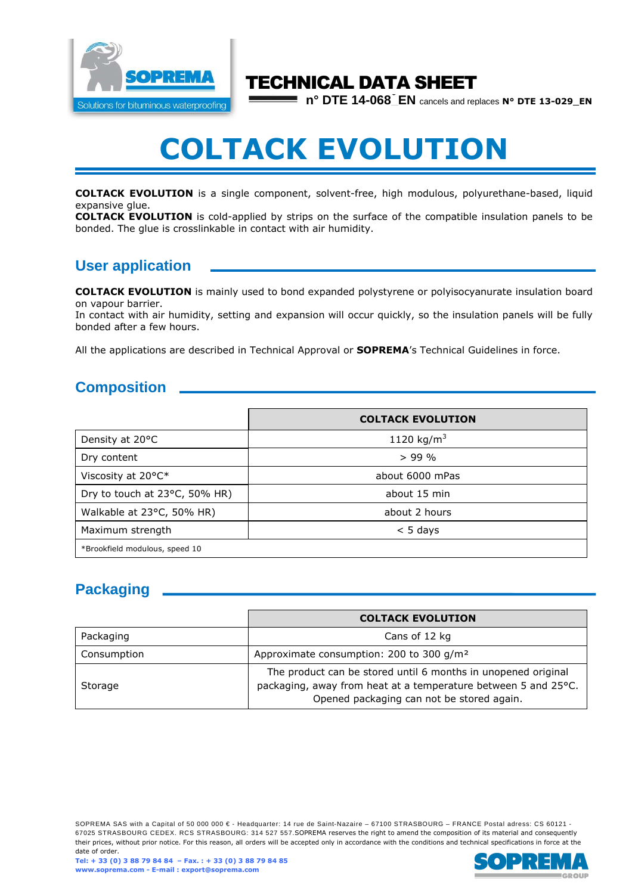

# TECHNICAL DATA SHEET

**n° DTE 14-068\_EN** cancels and replaces **N° DTE 13-029\_EN**

# **COLTACK EVOLUTION**

**COLTACK EVOLUTION** is a single component, solvent-free, high modulous, polyurethane-based, liquid expansive glue.

**COLTACK EVOLUTION** is cold-applied by strips on the surface of the compatible insulation panels to be bonded. The glue is crosslinkable in contact with air humidity.

## **User application**

**COLTACK EVOLUTION** is mainly used to bond expanded polystyrene or polyisocyanurate insulation board on vapour barrier.

In contact with air humidity, setting and expansion will occur quickly, so the insulation panels will be fully bonded after a few hours.

All the applications are described in Technical Approval or **SOPREMA**'s Technical Guidelines in force.

## **Composition**

|                                | <b>COLTACK EVOLUTION</b> |  |  |  |
|--------------------------------|--------------------------|--|--|--|
| Density at 20°C                | 1120 kg/m <sup>3</sup>   |  |  |  |
| Dry content                    | $> 99\%$                 |  |  |  |
| Viscosity at 20°C*             | about 6000 mPas          |  |  |  |
| Dry to touch at 23°C, 50% HR)  | about 15 min             |  |  |  |
| Walkable at 23°C, 50% HR)      | about 2 hours            |  |  |  |
| Maximum strength               | $< 5$ days               |  |  |  |
| *Brookfield modulous, speed 10 |                          |  |  |  |

## **Packaging**

|             | <b>COLTACK EVOLUTION</b>                                                                                                                                                     |  |  |
|-------------|------------------------------------------------------------------------------------------------------------------------------------------------------------------------------|--|--|
| Packaging   | Cans of 12 kg                                                                                                                                                                |  |  |
| Consumption | Approximate consumption: 200 to 300 g/m <sup>2</sup>                                                                                                                         |  |  |
| Storage     | The product can be stored until 6 months in unopened original<br>packaging, away from heat at a temperature between 5 and 25°C.<br>Opened packaging can not be stored again. |  |  |

SOPREMA SAS with a Capital of 50 000 000 € - Headquarter: 14 rue de Saint-Nazaire – 67100 STRASBOURG – FRANCE Postal adress: CS 60121 -67025 STRASBOURG CEDEX. RCS STRASBOURG: 314 527 557.SOPREMA reserves the right to amend the composition of its material and consequently their prices, without prior notice. For this reason, all orders will be accepted only in accordance with the conditions and technical specifications in force at the date of order.